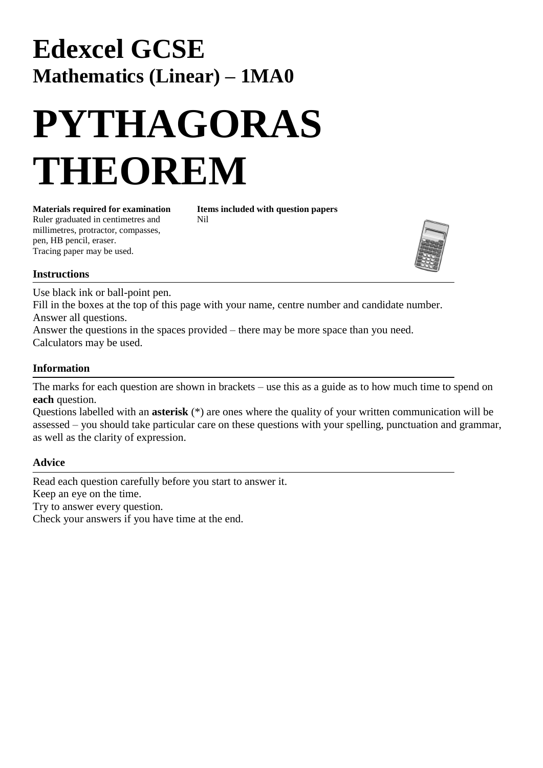## **Edexcel GCSE Mathematics (Linear) – 1MA0**

# **PYTHAGORAS THEOREM**

Ruler graduated in centimetres and Nil millimetres, protractor, compasses, pen, HB pencil, eraser. Tracing paper may be used.

**Materials required for examination Items included with question papers**



### **Instructions**

Use black ink or ball-point pen.

Fill in the boxes at the top of this page with your name, centre number and candidate number. Answer all questions.

Answer the questions in the spaces provided – there may be more space than you need. Calculators may be used.

### **Information**

The marks for each question are shown in brackets – use this as a guide as to how much time to spend on **each** question.

Questions labelled with an **asterisk** (\*) are ones where the quality of your written communication will be assessed – you should take particular care on these questions with your spelling, punctuation and grammar, as well as the clarity of expression.

### **Advice**

Read each question carefully before you start to answer it. Keep an eye on the time. Try to answer every question. Check your answers if you have time at the end.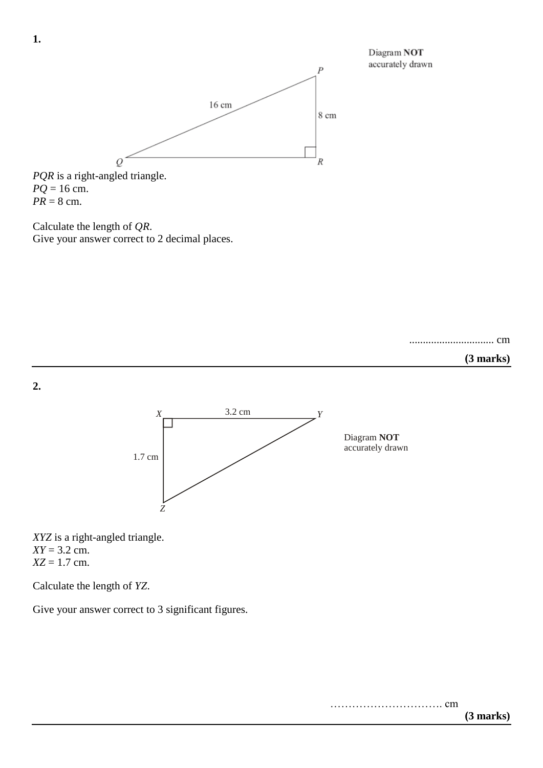



*PQR* is a right-angled triangle.  $PQ = 16$  cm.  $PR = 8$  cm.

Calculate the length of *QR*. Give your answer correct to 2 decimal places.







*XYZ* is a right-angled triangle.  $XY = 3.2$  cm. *XZ* = 1.7 cm.

Calculate the length of *YZ*.

Give your answer correct to 3 significant figures.

**1.**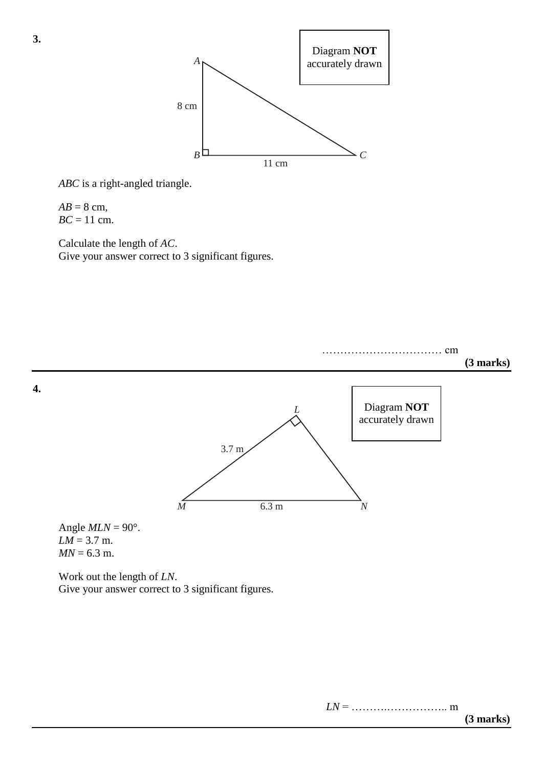

*ABC* is a right-angled triangle.

 $AB = 8$  cm,  $BC = 11$  cm.

Calculate the length of *AC*. Give your answer correct to 3 significant figures.



Work out the length of *LN*. Give your answer correct to 3 significant figures.

**3.**

*LN* = ……….…………….. m **(3 marks)**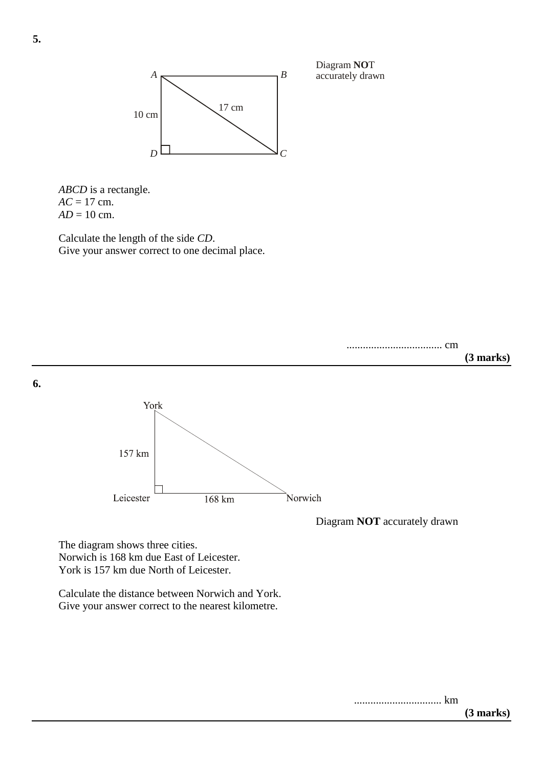

Diagram NOT accurately drawn

*ABCD* is a rectangle.  $AC = 17$  cm.  $AD = 10$  cm.

Calculate the length of the side *CD*. Give your answer correct to one decimal place.



The diagram shows three cities. Norwich is 168 km due East of Leicester. York is 157 km due North of Leicester.

Calculate the distance between Norwich and York. Give your answer correct to the nearest kilometre.

> ................................ km **(3 marks)**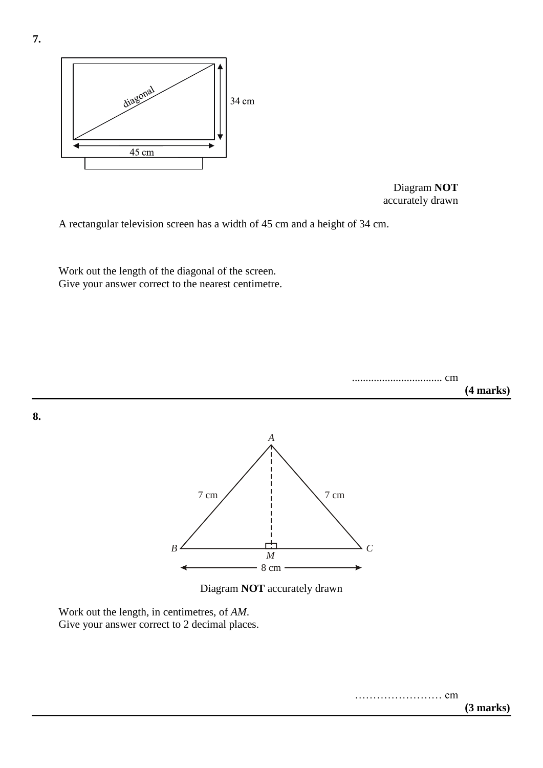



A rectangular television screen has a width of 45 cm and a height of 34 cm.

Work out the length of the diagonal of the screen. Give your answer correct to the nearest centimetre.



**8.**





Work out the length, in centimetres, of *AM*. Give your answer correct to 2 decimal places.

…………………… cm

**7.**

**(3 marks)**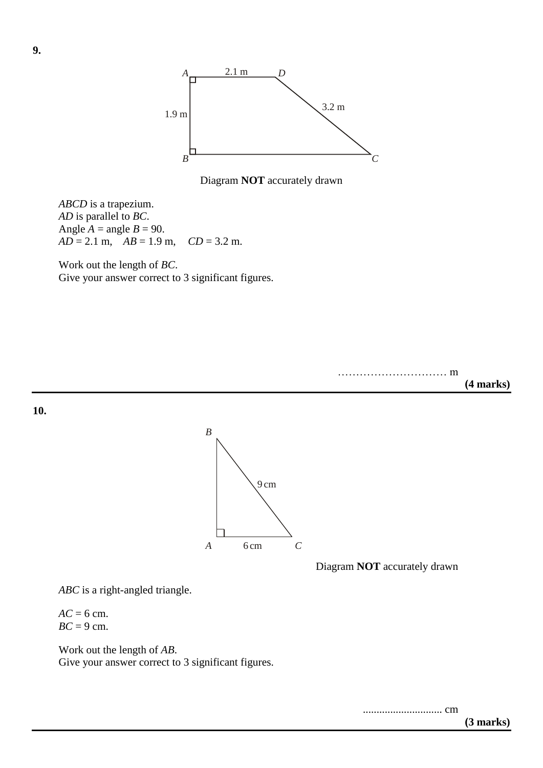

Diagram **NOT** accurately drawn

9 cm

*ABCD* is a trapezium. *AD* is parallel to *BC*. Angle  $A = \text{angle } B = 90$ . *AD* = 2.1 m, *AB* = 1.9 m, *CD* = 3.2 m.

Work out the length of *BC*. Give your answer correct to 3 significant figures.

*B*

………………………… m **(4 marks)**

**10.**



Diagram **NOT** accurately drawn

*ABC* is a right-angled triangle.

 $AC = 6$  cm.  $BC = 9$  cm.

Work out the length of *AB*. Give your answer correct to 3 significant figures.

............................. cm

**(3 marks)**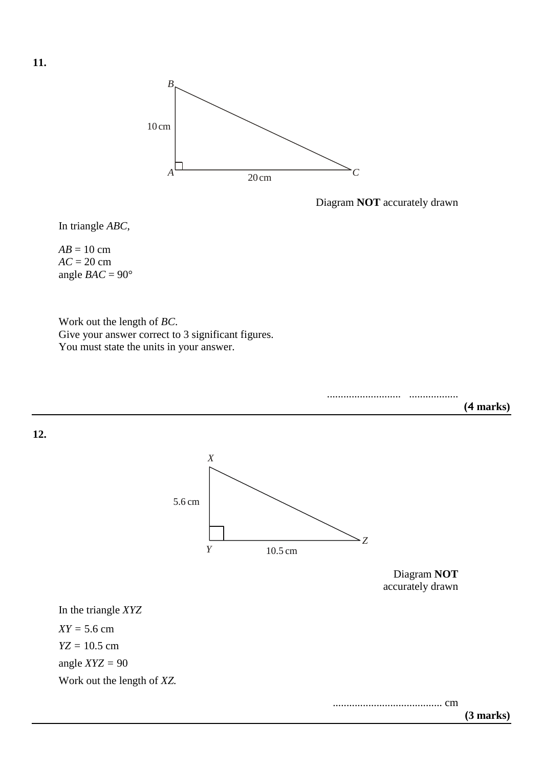

Diagram **NOT** accurately drawn

In triangle *ABC*,

 $AB = 10$  cm *AC* = 20 cm angle  $BAC = 90^\circ$ 

Work out the length of *BC*. Give your answer correct to 3 significant figures. You must state the units in your answer.



**11.**